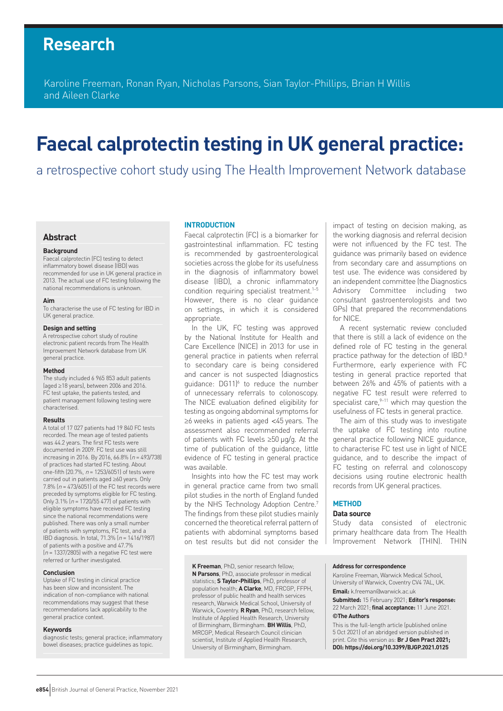## **Research**

Karoline Freeman, Ronan Ryan, Nicholas Parsons, Sian Taylor-Phillips, Brian H Willis and Aileen Clarke

# **Faecal calprotectin testing in UK general practice:**

a retrospective cohort study using The Health Improvement Network database

#### **Abstract**

#### **Background**

Faecal calprotectin (FC) testing to detect inflammatory bowel disease (IBD) was recommended for use in UK general practice in 2013. The actual use of FC testing following the national recommendations is unknown.

#### **Aim**

To characterise the use of FC testing for IBD in UK general practice.

#### **Design and setting**

A retrospective cohort study of routine electronic patient records from The Health Improvement Network database from UK general practice.

#### **Method**

The study included 6 965 853 adult patients (aged ≥18 years), between 2006 and 2016. FC test uptake, the patients tested, and patient management following testing were characterised.

#### **Results**

A total of 17 027 patients had 19 840 FC tests recorded. The mean age of tested patients was 44.2 years. The first FC tests were documented in 2009. FC test use was still increasing in 2016. By 2016, 66.8%  $(n = 493/738)$ of practices had started FC testing. About one-fifth (20.7%,  $n = 1253/6051$ ) of tests were carried out in patients aged ≥60 years. Only 7.8%  $(n = 473/6051)$  of the FC test records were preceded by symptoms eligible for FC testing. Only 3.1%  $(n = 1720/55 477)$  of patients with eligible symptoms have received FC testing since the national recommendations were published. There was only a small number of patients with symptoms, FC test, and a IBD diagnosis. In total, 71.3% (<sup>n</sup> = 1416/1987) of patients with a positive and 47.7%  $(n = 1337/2805)$  with a negative FC test were referred or further investigated.

#### **Conclusion**

Uptake of FC testing in clinical practice has been slow and inconsistent. The indication of non-compliance with national recommendations may suggest that these recommendations lack applicability to the general practice context.

#### **Keywords**

diagnostic tests; general practice; inflammatory bowel diseases; practice guidelines as topic.

#### **INTRODUCTION**

Faecal calprotectin (FC) is a biomarker for gastrointestinal inflammation. FC testing is recommended by gastroenterological societies across the globe for its usefulness in the diagnosis of inflammatory bowel disease (IBD), a chronic inflammatory condition requiring specialist treatment.<sup>1-5</sup> However, there is no clear guidance on settings, in which it is considered appropriate.

In the UK, FC testing was approved by the National Institute for Health and Care Excellence (NICE) in 2013 for use in general practice in patients when referral to secondary care is being considered and cancer is not suspected (diagnostics guidance: DG11)<sup>6</sup> to reduce the number of unnecessary referrals to colonoscopy. The NICE evaluation defined eligibility for testing as ongoing abdominal symptoms for ≥6 weeks in patients aged <45 years. The assessment also recommended referral of patients with FC levels ≥50 µg/g. At the time of publication of the guidance, little evidence of FC testing in general practice was available.

Insights into how the FC test may work in general practice came from two small pilot studies in the north of England funded by the NHS Technology Adoption Centre.<sup>7</sup> The findings from these pilot studies mainly concerned the theoretical referral pattern of patients with abdominal symptoms based on test results but did not consider the

**K Freeman**, PhD, senior research fellow; **N Parsons**, PhD, associate professor in medical statistics; **S Taylor-Phillips**, PhD, professor of population health; **A Clarke**, MD, FRCGP, FFPH, professor of public health and health services research, Warwick Medical School, University of Warwick, Coventry. **R Ryan**, PhD, research fellow, Institute of Applied Health Research, University of Birmingham, Birmingham. **BH Willis**, PhD, MRCGP, Medical Research Council clinician scientist, Institute of Applied Health Research, University of Birmingham, Birmingham.

impact of testing on decision making, as the working diagnosis and referral decision were not influenced by the FC test. The guidance was primarily based on evidence from secondary care and assumptions on test use. The evidence was considered by an independent committee (the Diagnostics Advisory Committee including two consultant gastroenterologists and two GPs) that prepared the recommendations for NICE.

A recent systematic review concluded that there is still a lack of evidence on the defined role of FC testing in the general practice pathway for the detection of IBD.8 Furthermore, early experience with FC testing in general practice reported that between 26% and 45% of patients with a negative FC test result were referred to specialist care, $9-11$  which may question the usefulness of FC tests in general practice.

The aim of this study was to investigate the uptake of FC testing into routine general practice following NICE guidance, to characterise FC test use in light of NICE guidance, and to describe the impact of FC testing on referral and colonoscopy decisions using routine electronic health records from UK general practices.

#### **METHOD**

#### **Data source**

Study data consisted of electronic primary healthcare data from The Health Improvement Network (THIN). THIN

#### **Address for correspondence**

Karoline Freeman, Warwick Medical School, University of Warwick, Coventry CV4 7AL, UK. **Email:** k.freeman@warwick.ac.uk

**Submitted:** 15 February 2021; **Editor's response:** 22 March 2021; **final acceptance:** 11 June 2021. **©The Authors**

This is the full-length article (published online 5 Oct 2021) of an abridged version published in print. Cite this version as: **Br J Gen Pract 2021; DOI: https://doi.org/10.3399/BJGP.2021.0125**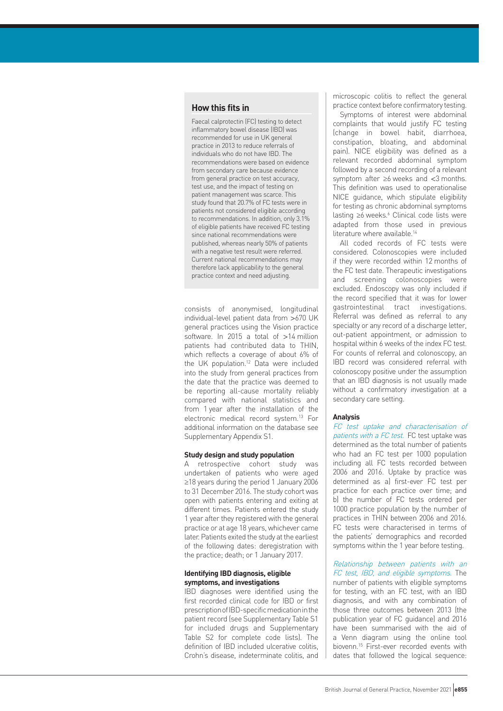## **How this fits in**

Faecal calprotectin (FC) testing to detect inflammatory bowel disease (IBD) was recommended for use in UK general practice in 2013 to reduce referrals of individuals who do not have IBD. The recommendations were based on evidence from secondary care because evidence from general practice on test accuracy, test use, and the impact of testing on patient management was scarce. This study found that 20.7% of FC tests were in patients not considered eligible according to recommendations. In addition, only 3.1% of eligible patients have received FC testing since national recommendations were published, whereas nearly 50% of patients with a negative test result were referred. Current national recommendations may therefore lack applicability to the general practice context and need adjusting.

consists of anonymised, longitudinal individual-level patient data from >670 UK general practices using the Vision practice software. In 2015 a total of >14 million patients had contributed data to THIN, which reflects a coverage of about 6% of the UK population.12 Data were included into the study from general practices from the date that the practice was deemed to be reporting all-cause mortality reliably compared with national statistics and from 1 year after the installation of the electronic medical record system.13 For additional information on the database see Supplementary Appendix S1.

#### **Study design and study population**

A retrospective cohort study was undertaken of patients who were aged ≥18 years during the period 1 January 2006 to 31 December 2016. The study cohort was open with patients entering and exiting at different times. Patients entered the study 1 year after they registered with the general practice or at age 18 years, whichever came later. Patients exited the study at the earliest of the following dates: deregistration with the practice; death; or 1 January 2017.

#### **Identifying IBD diagnosis, eligible symptoms, and investigations**

IBD diagnoses were identified using the first recorded clinical code for IBD or first prescription of IBD-specific medication in the patient record (see Supplementary Table S1 for included drugs and Supplementary Table S2 for complete code lists). The definition of IBD included ulcerative colitis, Crohn's disease, indeterminate colitis, and microscopic colitis to reflect the general practice context before confirmatory testing.

Symptoms of interest were abdominal complaints that would justify FC testing (change in bowel habit, diarrhoea, constipation, bloating, and abdominal pain). NICE eligibility was defined as a relevant recorded abdominal symptom followed by a second recording of a relevant symptom after ≥6 weeks and <3 months. This definition was used to operationalise NICE guidance, which stipulate eligibility for testing as chronic abdominal symptoms lasting ≥6 weeks.<sup>6</sup> Clinical code lists were adapted from those used in previous literature where available.<sup>14</sup>

All coded records of FC tests were considered. Colonoscopies were included if they were recorded within 12 months of the FC test date. Therapeutic investigations and screening colonoscopies were excluded. Endoscopy was only included if the record specified that it was for lower gastrointestinal tract investigations. Referral was defined as referral to any specialty or any record of a discharge letter, out-patient appointment, or admission to hospital within 6 weeks of the index FC test. For counts of referral and colonoscopy, an IBD record was considered referral with colonoscopy positive under the assumption that an IBD diagnosis is not usually made without a confirmatory investigation at a secondary care setting.

#### **Analysis**

FC test uptake and characterisation of patients with a FC test. FC test uptake was determined as the total number of patients who had an FC test per 1000 population including all FC tests recorded between 2006 and 2016. Uptake by practice was determined as a) first-ever FC test per practice for each practice over time; and b) the number of FC tests ordered per 1000 practice population by the number of practices in THIN between 2006 and 2016. FC tests were characterised in terms of the patients' demographics and recorded symptoms within the 1 year before testing.

Relationship between patients with an FC test, IBD, and eligible symptoms. The number of patients with eligible symptoms for testing, with an FC test, with an IBD diagnosis, and with any combination of those three outcomes between 2013 (the publication year of FC guidance) and 2016 have been summarised with the aid of a Venn diagram using the online tool biovenn.15 First-ever recorded events with dates that followed the logical sequence: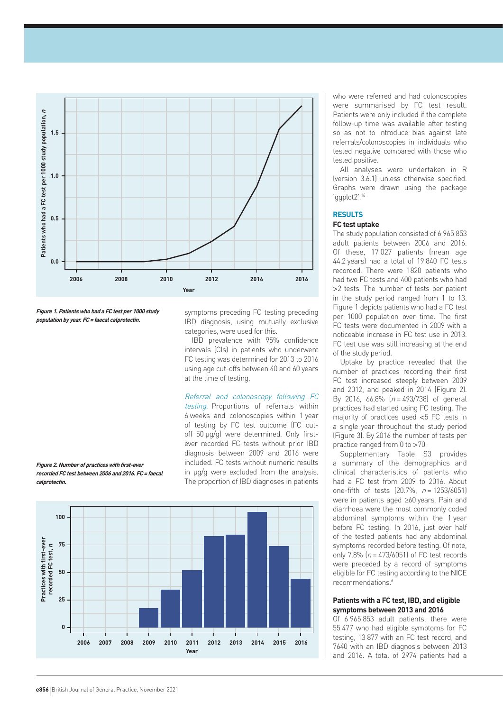

**Figure 1. Patients who had a FC test per 1000 study population by year. FC <sup>=</sup> faecal calprotectin.** 

symptoms preceding FC testing preceding IBD diagnosis, using mutually exclusive categories, were used for this.

IBD prevalence with 95% confidence intervals (CIs) in patients who underwent FC testing was determined for 2013 to 2016 using age cut-offs between 40 and 60 years at the time of testing.

Referral and colonoscopy following FC testing. Proportions of referrals within 6 weeks and colonoscopies within 1 year of testing by FC test outcome (FC cutoff 50 µg/g) were determined. Only firstever recorded FC tests without prior IBD diagnosis between 2009 and 2016 were included. FC tests without numeric results in µg/g were excluded from the analysis. The proportion of IBD diagnoses in patients



who were referred and had colonoscopies were summarised by FC test result. Patients were only included if the complete follow-up time was available after testing so as not to introduce bias against late referrals/colonoscopies in individuals who tested negative compared with those who tested positive.

All analyses were undertaken in R (version 3.6.1) unless otherwise specified. Graphs were drawn using the package 'ggplot2'.16

#### **RESULTS**

#### **FC test uptake**

The study population consisted of 6 965 853 adult patients between 2006 and 2016. Of these, 17 027 patients (mean age 44.2 years) had a total of 19 840 FC tests recorded. There were 1820 patients who had two FC tests and 400 patients who had >2 tests. The number of tests per patient in the study period ranged from 1 to 13. Figure 1 depicts patients who had a FC test per 1000 population over time. The first FC tests were documented in 2009 with a noticeable increase in FC test use in 2013. FC test use was still increasing at the end of the study period.

Uptake by practice revealed that the number of practices recording their first FC test increased steeply between 2009 and 2012, and peaked in 2014 (Figure 2). By 2016, 66.8%  $(n = 493/738)$  of general practices had started using FC testing. The majority of practices used <5 FC tests in a single year throughout the study period (Figure 3). By 2016 the number of tests per practice ranged from 0 to >70.

Supplementary Table S3 provides a summary of the demographics and clinical characteristics of patients who had a FC test from 2009 to 2016. About one-fifth of tests  $(20.7\% , n = 1253/6051)$ were in patients aged ≥60 years. Pain and diarrhoea were the most commonly coded abdominal symptoms within the 1 year before FC testing. In 2016, just over half of the tested patients had any abdominal symptoms recorded before testing. Of note, only 7.8%  $(n = 473/6051)$  of FC test records were preceded by a record of symptoms eligible for FC testing according to the NICE recommendations.6

## **Patients with a FC test, IBD, and eligible symptoms between 2013 and 2016**

Of 6 965 853 adult patients, there were 55 477 who had eligible symptoms for FC testing, 13 877 with an FC test record, and 7640 with an IBD diagnosis between 2013 and 2016. A total of 2974 patients had a

**Figure 2. Number of practices with first-ever recorded FC test between 2006 and 2016. FC <sup>=</sup> faecal calprotectin.**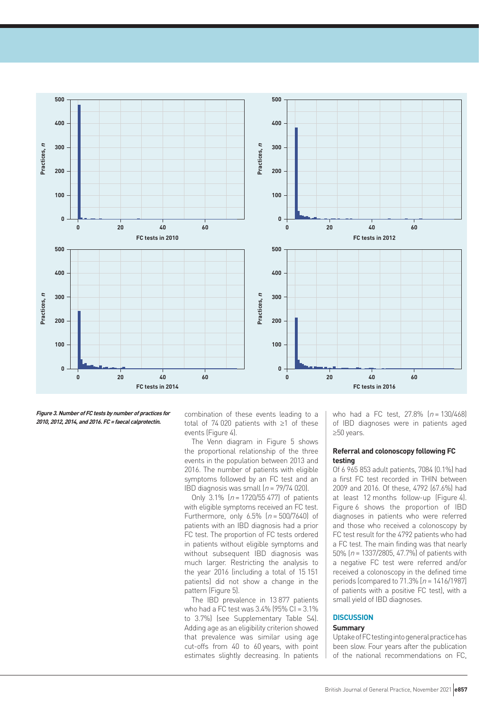

**Figure 3. Number of FC tests by number of practices for 2010, 2012, 2014, and 2016. FC <sup>=</sup> faecal calprotectin.** 

combination of these events leading to a total of 74 020 patients with ≥1 of these events (Figure 4).

The Venn diagram in Figure 5 shows the proportional relationship of the three events in the population between 2013 and 2016. The number of patients with eligible symptoms followed by an FC test and an IBD diagnosis was small  $(n = 79/74 020)$ .

Only 3.1%  $[n = 1720/55 477]$  of patients with eligible symptoms received an FC test. Furthermore, only  $6.5\%$  ( $n = 500/7640$ ) of patients with an IBD diagnosis had a prior FC test. The proportion of FC tests ordered in patients without eligible symptoms and without subsequent IBD diagnosis was much larger. Restricting the analysis to the year 2016 (including a total of 15 151 patients) did not show a change in the pattern (Figure 5).

The IBD prevalence in 13 877 patients who had a FC test was 3.4% (95% CI = 3.1% to 3.7%) (see Supplementary Table S4). Adding age as an eligibility criterion showed that prevalence was similar using age cut-offs from 40 to 60 years, with point estimates slightly decreasing. In patients

who had a FC test,  $27.8\%$   $(n = 130/468)$ of IBD diagnoses were in patients aged ≥50 years.

#### **Referral and colonoscopy following FC testing**

Of 6 965 853 adult patients, 7084 (0.1%) had a first FC test recorded in THIN between 2009 and 2016. Of these, 4792 (67.6%) had at least 12 months follow-up (Figure 4). Figure 6 shows the proportion of IBD diagnoses in patients who were referred and those who received a colonoscopy by FC test result for the 4792 patients who had a FC test. The main finding was that nearly 50% ( $n = 1337/2805$ , 47.7%) of patients with a negative FC test were referred and/or received a colonoscopy in the defined time periods (compared to  $71.3\%$  [ $n = 1416/1987$ ] of patients with a positive FC test), with a small yield of IBD diagnoses.

#### **DISCUSSION**

#### **Summary**

Uptake of FC testing into general practice has been slow. Four years after the publication of the national recommendations on FC,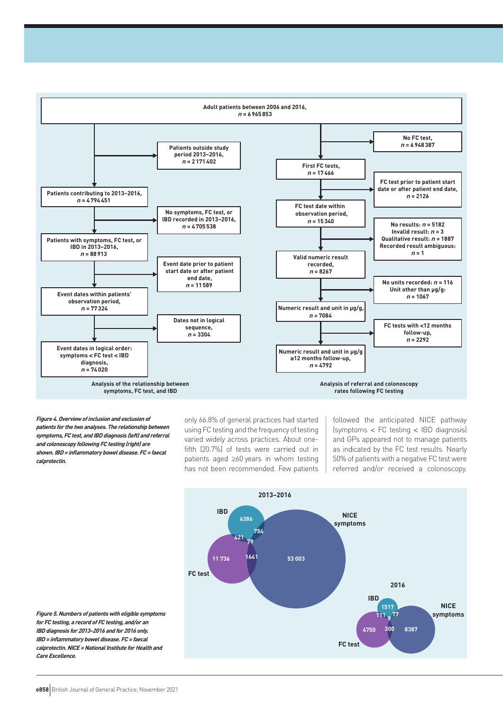

**Figure 4. Overview of inclusion and exclusion of patients for the two analyses. The relationship between symptoms, FC test, and IBD diagnosis (left) and referral and colonoscopy following FC testing (right) are shown. IBD= inflammatory bowel disease. FC= faecal calprotectin.** 

only 66.8% of general practices had started using FC testing and the frequency of testing varied widely across practices. About onefifth (20.7%) of tests were carried out in patients aged ≥60 years in whom testing has not been recommended. Few patients

followed the anticipated NICE pathway (symptoms < FC testing < IBD diagnosis) and GPs appeared not to manage patients as indicated by the FC test results. Nearly 50% of patients with a negative FC test were referred and/or received a colonoscopy.



**Figure 5. Numbers of patients with eligible symptoms for FC testing, a record of FC testing, and/or an IBD diagnosis for 2013–2016 and for 2016 only. IBD= inflammatory bowel disease. FC= faecal calprotectin. NICE <sup>=</sup> National Institute for Health and Care Excellence.**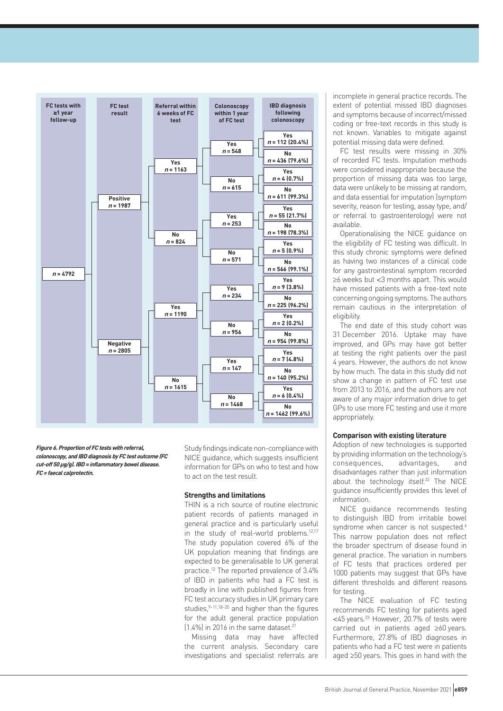

**Figure 6. Proportion of FC tests with referral, colonoscopy, and IBD diagnosis by FC test outcome (FC cut-off 50 µg/g). IBD= inflammatory bowel disease. FC= faecal calprotectin.** 

Study findings indicate non-compliance with NICE guidance, which suggests insufficient information for GPs on who to test and how to act on the test result.

#### **Strengths and limitations**

THIN is a rich source of routine electronic patient records of patients managed in general practice and is particularly useful in the study of real-world problems.<sup>12,17</sup> The study population covered 6% of the UK population meaning that findings are expected to be generalisable to UK general practice.12 The reported prevalence of 3.4% of IBD in patients who had a FC test is broadly in line with published figures from FC test accuracy studies in UK primary care studies,  $9-11,18-20$  and higher than the figures for the adult general practice population  $(1.4\%)$  in 2016 in the same dataset.<sup>21</sup>

Missing data may have affected the current analysis. Secondary care investigations and specialist referrals are

incomplete in general practice records. The extent of potential missed IBD diagnoses and symptoms because of incorrect/missed coding or free-text records in this study is not known. Variables to mitigate against potential missing data were defined.

FC test results were missing in 30% of recorded FC tests. Imputation methods were considered inappropriate because the proportion of missing data was too large, data were unlikely to be missing at random, and data essential for imputation (symptom severity, reason for testing, assay type, and/ or referral to gastroenterology) were not available.

Operationalising the NICE guidance on the eligibility of FC testing was difficult. In this study chronic symptoms were defined as having two instances of a clinical code for any gastrointestinal symptom recorded ≥6 weeks but <3 months apart. This would have missed patients with a free-text note concerning ongoing symptoms. The authors remain cautious in the interpretation of eligibility.

The end date of this study cohort was 31 December 2016. Uptake may have improved, and GPs may have got better at testing the right patients over the past 4 years. However, the authors do not know by how much. The data in this study did not show a change in pattern of FC test use from 2013 to 2016, and the authors are not aware of any major information drive to get GPs to use more FC testing and use it more appropriately.

#### **Comparison with existing literature**

Adoption of new technologies is supported by providing information on the technology's consequences, advantages, and disadvantages rather than just information about the technology itself.22 The NICE guidance insufficiently provides this level of information.

NICE guidance recommends testing to distinguish IBD from irritable bowel syndrome when cancer is not suspected.<sup>6</sup> This narrow population does not reflect the broader spectrum of disease found in general practice. The variation in numbers of FC tests that practices ordered per 1000 patients may suggest that GPs have different thresholds and different reasons for testing.

The NICE evaluation of FC testing recommends FC testing for patients aged <45 years.23 However, 20.7% of tests were carried out in patients aged ≥60 years. Furthermore, 27.8% of IBD diagnoses in patients who had a FC test were in patients aged ≥50 years. This goes in hand with the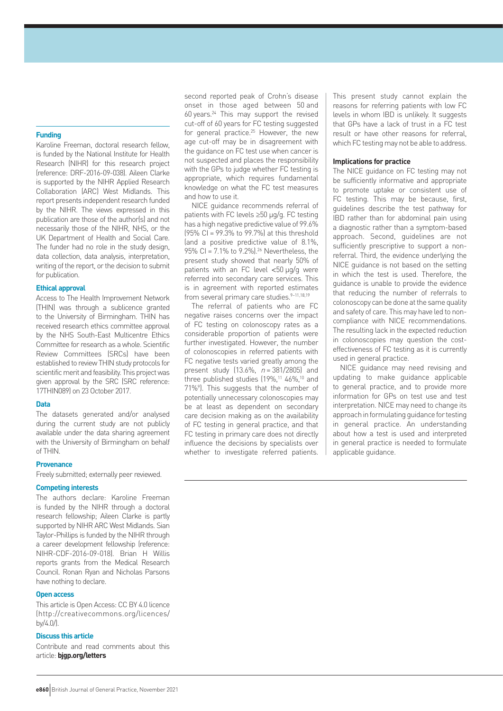## **Funding**

Karoline Freeman, doctoral research fellow, is funded by the National Institute for Health Research (NIHR) for this research project (reference: DRF-2016-09-038). Aileen Clarke is supported by the NIHR Applied Research Collaboration (ARC) West Midlands. This report presents independent research funded by the NIHR. The views expressed in this publication are those of the author(s) and not necessarily those of the NIHR, NHS, or the UK Department of Health and Social Care. The funder had no role in the study design. data collection, data analysis, interpretation, writing of the report, or the decision to submit for publication.

#### **Ethical approval**

Access to The Health Improvement Network (THIN) was through a sublicence granted to the University of Birmingham. THIN has received research ethics committee approval by the NHS South-East Multicentre Ethics Committee for research as a whole. Scientific Review Committees (SRCs) have been established to review THIN study protocols for scientific merit and feasibility. This project was given approval by the SRC (SRC reference: 17THIN089) on 23 October 2017.

#### **Data**

The datasets generated and/or analysed during the current study are not publicly available under the data sharing agreement with the University of Birmingham on behalf of THIN.

#### **Provenance**

Freely submitted; externally peer reviewed.

#### **Competing interests**

The authors declare: Karoline Freeman is funded by the NIHR through a doctoral research fellowship; Aileen Clarke is partly supported by NIHR ARC West Midlands. Sian Taylor-Phillips is funded by the NIHR through a career development fellowship (reference: NIHR-CDF-2016-09-018). Brian H Willis reports grants from the Medical Research Council. Ronan Ryan and Nicholas Parsons have nothing to declare.

#### **Open access**

This article is Open Access: CC BY 4.0 licence (http://creativecommons.org/licences/ by/4.0/).

## **Discuss this article**

Contribute and read comments about this article: **bjgp.org/letters**

second reported peak of Crohn's disease onset in those aged between 50 and 60 years.24 This may support the revised cut-off of 60 years for FC testing suggested for general practice.25 However, the new age cut-off may be in disagreement with the guidance on FC test use when cancer is not suspected and places the responsibility with the GPs to judge whether FC testing is appropriate, which requires fundamental knowledge on what the FC test measures and how to use it.

NICE guidance recommends referral of patients with FC levels ≥50 µg/g. FC testing has a high negative predictive value of 99.6%  $(95\% \text{ CI} = 99.3\% \text{ to } 99.7\%$  at this threshold (and a positive predictive value of 8.1%, 95% CI = 7.1% to 9.2%).26 Nevertheless, the present study showed that nearly 50% of patients with an FC level <50 µg/g were referred into secondary care services. This is in agreement with reported estimates from several primary care studies.<sup>9-11,18,19</sup>

The referral of patients who are FC negative raises concerns over the impact of FC testing on colonoscopy rates as a considerable proportion of patients were further investigated. However, the number of colonoscopies in referred patients with FC negative tests varied greatly among the present study  $(13.6\% , n = 381/2805)$  and three published studies (19%,<sup>11</sup> 46%,<sup>10</sup> and 71%9 ). This suggests that the number of potentially unnecessary colonoscopies may be at least as dependent on secondary care decision making as on the availability of FC testing in general practice, and that FC testing in primary care does not directly influence the decisions by specialists over whether to investigate referred patients.

This present study cannot explain the reasons for referring patients with low FC levels in whom IBD is unlikely. It suggests that GPs have a lack of trust in a FC test result or have other reasons for referral, which FC testing may not be able to address.

#### **Implications for practice**

The NICE guidance on FC testing may not be sufficiently informative and appropriate to promote uptake or consistent use of FC testing. This may be because, first, guidelines describe the test pathway for IBD rather than for abdominal pain using a diagnostic rather than a symptom-based approach. Second, guidelines are not sufficiently prescriptive to support a nonreferral. Third, the evidence underlying the NICE guidance is not based on the setting in which the test is used. Therefore, the guidance is unable to provide the evidence that reducing the number of referrals to colonoscopy can be done at the same quality and safety of care. This may have led to noncompliance with NICE recommendations. The resulting lack in the expected reduction in colonoscopies may question the costeffectiveness of FC testing as it is currently used in general practice.

NICE guidance may need revising and updating to make guidance applicable to general practice, and to provide more information for GPs on test use and test interpretation. NICE may need to change its approach in formulating guidance for testing in general practice. An understanding about how a test is used and interpreted in general practice is needed to formulate applicable guidance.